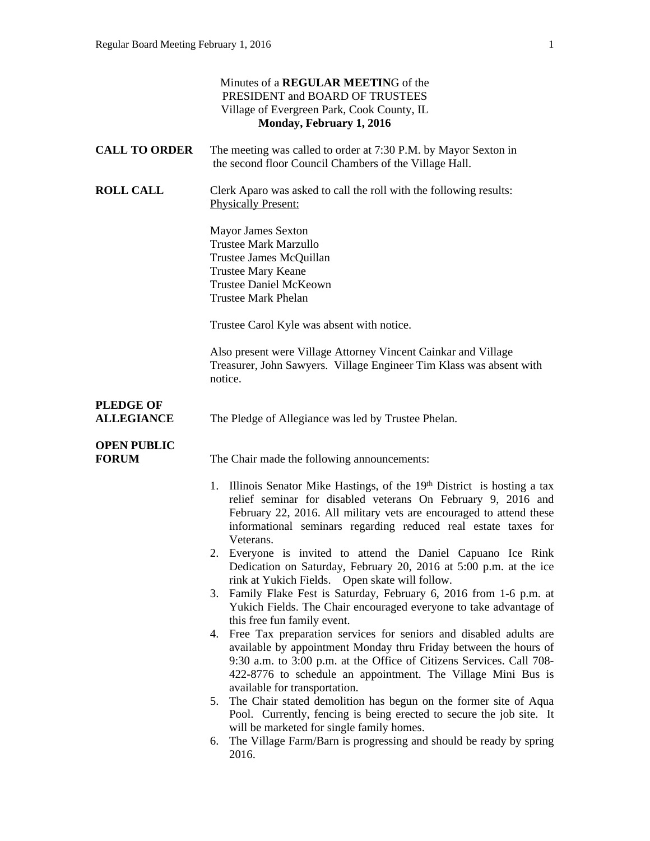|                                       | Minutes of a REGULAR MEETING of the<br>PRESIDENT and BOARD OF TRUSTEES<br>Village of Evergreen Park, Cook County, IL<br>Monday, February 1, 2016                                                                                                                                                                                                                                                                                                                                                                                                                                                                                                                 |  |  |
|---------------------------------------|------------------------------------------------------------------------------------------------------------------------------------------------------------------------------------------------------------------------------------------------------------------------------------------------------------------------------------------------------------------------------------------------------------------------------------------------------------------------------------------------------------------------------------------------------------------------------------------------------------------------------------------------------------------|--|--|
| <b>CALL TO ORDER</b>                  | The meeting was called to order at 7:30 P.M. by Mayor Sexton in<br>the second floor Council Chambers of the Village Hall.                                                                                                                                                                                                                                                                                                                                                                                                                                                                                                                                        |  |  |
| <b>ROLL CALL</b>                      | Clerk Aparo was asked to call the roll with the following results:<br><b>Physically Present:</b>                                                                                                                                                                                                                                                                                                                                                                                                                                                                                                                                                                 |  |  |
|                                       | <b>Mayor James Sexton</b><br><b>Trustee Mark Marzullo</b><br>Trustee James McQuillan<br><b>Trustee Mary Keane</b><br><b>Trustee Daniel McKeown</b><br><b>Trustee Mark Phelan</b>                                                                                                                                                                                                                                                                                                                                                                                                                                                                                 |  |  |
|                                       | Trustee Carol Kyle was absent with notice.                                                                                                                                                                                                                                                                                                                                                                                                                                                                                                                                                                                                                       |  |  |
|                                       | Also present were Village Attorney Vincent Cainkar and Village<br>Treasurer, John Sawyers. Village Engineer Tim Klass was absent with<br>notice.                                                                                                                                                                                                                                                                                                                                                                                                                                                                                                                 |  |  |
| <b>PLEDGE OF</b><br><b>ALLEGIANCE</b> | The Pledge of Allegiance was led by Trustee Phelan.                                                                                                                                                                                                                                                                                                                                                                                                                                                                                                                                                                                                              |  |  |
| <b>OPEN PUBLIC</b><br><b>FORUM</b>    | The Chair made the following announcements:                                                                                                                                                                                                                                                                                                                                                                                                                                                                                                                                                                                                                      |  |  |
|                                       | 1. Illinois Senator Mike Hastings, of the 19th District is hosting a tax<br>relief seminar for disabled veterans On February 9, 2016 and<br>February 22, 2016. All military vets are encouraged to attend these<br>informational seminars regarding reduced real estate taxes for<br>Veterans.<br>2. Everyone is invited to attend the Daniel Capuano Ice Rink<br>Dedication on Saturday, February 20, 2016 at 5:00 p.m. at the ice<br>rink at Yukich Fields. Open skate will follow.<br>3. Family Flake Fest is Saturday, February 6, 2016 from 1-6 p.m. at<br>Yukich Fields. The Chair encouraged everyone to take advantage of<br>this free fun family event. |  |  |
|                                       | 4. Free Tax preparation services for seniors and disabled adults are<br>available by appointment Monday thru Friday between the hours of<br>9:30 a.m. to 3:00 p.m. at the Office of Citizens Services. Call 708-<br>422-8776 to schedule an appointment. The Village Mini Bus is<br>available for transportation.<br>The Chair stated demolition has begun on the former site of Aqua<br>5.                                                                                                                                                                                                                                                                      |  |  |
|                                       | Pool. Currently, fencing is being erected to secure the job site. It<br>will be marketed for single family homes.<br>The Village Farm/Barn is progressing and should be ready by spring<br>6.<br>2016.                                                                                                                                                                                                                                                                                                                                                                                                                                                           |  |  |
|                                       |                                                                                                                                                                                                                                                                                                                                                                                                                                                                                                                                                                                                                                                                  |  |  |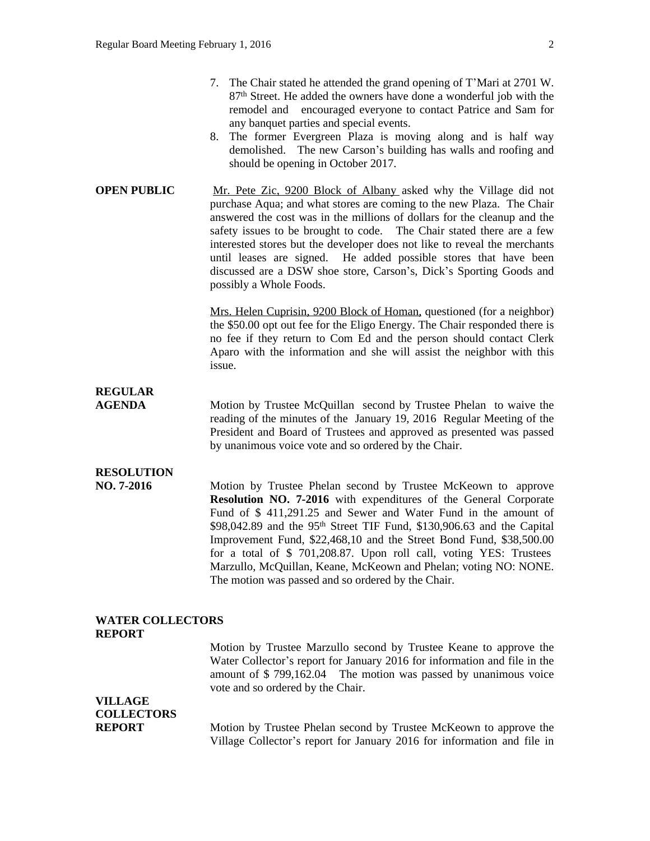- 8. The former Evergreen Plaza is moving along and is half way demolished. The new Carson's building has walls and roofing and should be opening in October 2017.
- **OPEN PUBLIC** Mr. Pete Zic, 9200 Block of Albany asked why the Village did not purchase Aqua; and what stores are coming to the new Plaza. The Chair answered the cost was in the millions of dollars for the cleanup and the safety issues to be brought to code. The Chair stated there are a few interested stores but the developer does not like to reveal the merchants until leases are signed. He added possible stores that have been discussed are a DSW shoe store, Carson's, Dick's Sporting Goods and possibly a Whole Foods.

Mrs. Helen Cuprisin, 9200 Block of Homan, questioned (for a neighbor) the \$50.00 opt out fee for the Eligo Energy. The Chair responded there is no fee if they return to Com Ed and the person should contact Clerk Aparo with the information and she will assist the neighbor with this issue.

## **REGULAR**

**AGENDA Motion by Trustee McQuillan** second by Trustee Phelan to waive the reading of the minutes of the January 19, 2016 Regular Meeting of the President and Board of Trustees and approved as presented was passed by unanimous voice vote and so ordered by the Chair.

## **RESOLUTION**

**NO. 7-2016** Motion by Trustee Phelan second by Trustee McKeown to approve **Resolution NO. 7-2016** with expenditures of the General Corporate Fund of \$ 411,291.25 and Sewer and Water Fund in the amount of \$98,042.89 and the 95th Street TIF Fund, \$130,906.63 and the Capital Improvement Fund, \$22,468,10 and the Street Bond Fund, \$38,500.00 for a total of \$ 701,208.87. Upon roll call, voting YES: Trustees Marzullo, McQuillan, Keane, McKeown and Phelan; voting NO: NONE. The motion was passed and so ordered by the Chair.

#### **WATER COLLECTORS REPORT**

Motion by Trustee Marzullo second by Trustee Keane to approve the Water Collector's report for January 2016 for information and file in the amount of \$ 799,162.04 The motion was passed by unanimous voice vote and so ordered by the Chair.

### **VILLAGE COLLECTORS**

**REPORT** Motion by Trustee Phelan second by Trustee McKeown to approve the Village Collector's report for January 2016 for information and file in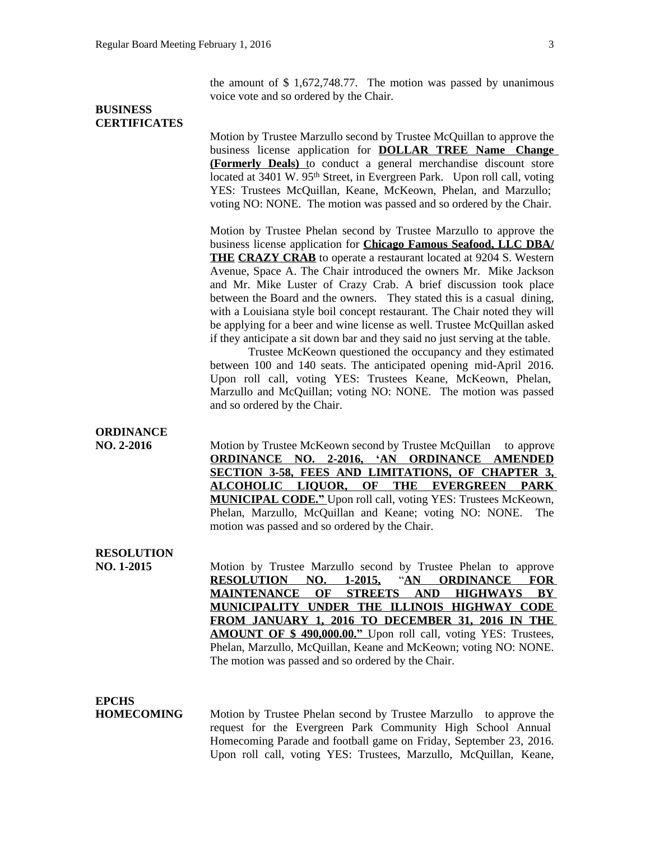the amount of \$ 1,672,748.77. The motion was passed by unanimous voice vote and so ordered by the Chair.

#### **BUSINESS CERTIFICATES**

Motion by Trustee Marzullo second by Trustee McQuillan to approve the business license application for **DOLLAR TREE Name Change (Formerly Deals)** to conduct a general merchandise discount store located at 3401 W. 95<sup>th</sup> Street, in Evergreen Park. Upon roll call, voting YES: Trustees McQuillan, Keane, McKeown, Phelan, and Marzullo; voting NO: NONE. The motion was passed and so ordered by the Chair.

Motion by Trustee Phelan second by Trustee Marzullo to approve the business license application for **Chicago Famous Seafood, LLC DBA/ THE CRAZY CRAB** to operate a restaurant located at 9204 S. Western Avenue, Space A. The Chair introduced the owners Mr. Mike Jackson and Mr. Mike Luster of Crazy Crab. A brief discussion took place between the Board and the owners. They stated this is a casual dining, with a Louisiana style boil concept restaurant. The Chair noted they will be applying for a beer and wine license as well. Trustee McQuillan asked if they anticipate a sit down bar and they said no just serving at the table.

Trustee McKeown questioned the occupancy and they estimated between 100 and 140 seats. The anticipated opening mid-April 2016. Upon roll call, voting YES: Trustees Keane, McKeown, Phelan, Marzullo and McQuillan; voting NO: NONE. The motion was passed and so ordered by the Chair.

#### **ORDINANCE**

**NO. 2-2016** Motion by Trustee McKeown second by Trustee McQuillan to approve **ORDINANCE NO. 2-2016, 'AN ORDINANCE AMENDED SECTION 3-58, FEES AND LIMITATIONS, OF CHAPTER 3, ALCOHOLIC LIQUOR, OF THE EVERGREEN PARK MUNICIPAL CODE."** Upon roll call, voting YES: Trustees McKeown, Phelan, Marzullo, McQuillan and Keane; voting NO: NONE. The motion was passed and so ordered by the Chair.

#### **RESOLUTION**

**NO. 1-2015** Motion by Trustee Marzullo second by Trustee Phelan to approve **RESOLUTION NO. 1-2015,** "**AN ORDINANCE FOR MAINTENANCE OF STREETS AND HIGHWAYS BY MUNICIPALITY UNDER THE ILLINOIS HIGHWAY CODE FROM JANUARY 1, 2016 TO DECEMBER 31, 2016 IN THE AMOUNT OF \$ 490,000.00."** Upon roll call, voting YES: Trustees, Phelan, Marzullo, McQuillan, Keane and McKeown; voting NO: NONE. The motion was passed and so ordered by the Chair.

#### **EPCHS**

**HOMECOMING** Motion by Trustee Phelan second by Trustee Marzullo to approve the request for the Evergreen Park Community High School Annual Homecoming Parade and football game on Friday, September 23, 2016. Upon roll call, voting YES: Trustees, Marzullo, McQuillan, Keane,